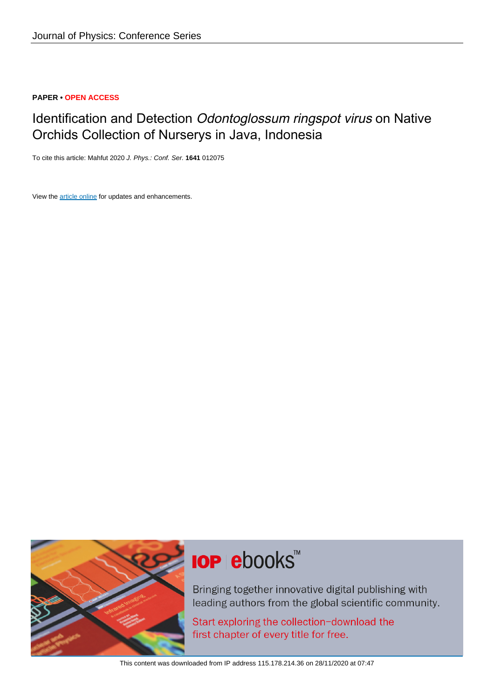# **PAPER • OPEN ACCESS**

# Identification and Detection Odontoglossum ringspot virus on Native Orchids Collection of Nurserys in Java, Indonesia

To cite this article: Mahfut 2020 J. Phys.: Conf. Ser. **1641** 012075

View the [article online](https://doi.org/10.1088/1742-6596/1641/1/012075) for updates and enhancements.



# **IOP ebooks**™

Bringing together innovative digital publishing with leading authors from the global scientific community.

Start exploring the collection-download the first chapter of every title for free.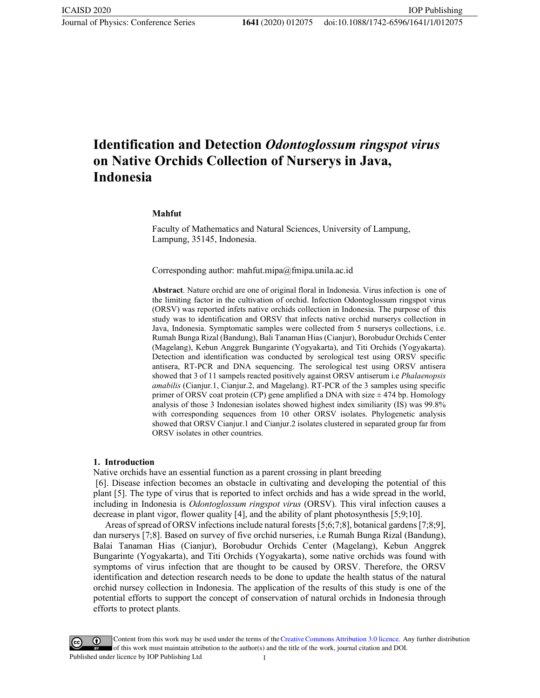# **Identification and Detection** *Odontoglossum ringspot virus* **on Native Orchids Collection of Nurserys in Java, Indonesia**

#### **Mahfut**

Faculty of Mathematics and Natural Sciences, University of Lampung, Lampung, 35145, Indonesia.

Corresponding author: mahfut.mipa@fmipa.unila.ac.id

**Abstract**. Nature orchid are one of original floral in Indonesia. Virus infection is one of the limiting factor in the cultivation of orchid. Infection Odontoglossum ringspot virus (ORSV) was reported infets native orchids collection in Indonesia. The purpose of this study was to identification and ORSV that infects native orchid nurserys collection in Java, Indonesia. Symptomatic samples were collected from 5 nurserys collections, i.e. Rumah Bunga Rizal (Bandung), Bali Tanaman Hias (Cianjur), Borobudur Orchids Center (Magelang), Kebun Anggrek Bungarinte (Yogyakarta), and Titi Orchids (Yogyakarta). Detection and identification was conducted by serological test using ORSV specific antisera, RT-PCR and DNA sequencing. The serological test using ORSV antisera showed that 3 of 11 sampels reacted positively against ORSV antiserum i.e *Phalaenopsis amabilis* (Cianjur.1, Cianjur.2, and Magelang). RT-PCR of the 3 samples using specific primer of ORSV coat protein (CP) gene amplified a DNA with size  $\pm$  474 bp. Homology analysis of those 3 Indonesian isolates showed highest index similiarity (IS) was 99.8% with corresponding sequences from 10 other ORSV isolates. Phylogenetic analysis showed that ORSV Cianjur.1 and Cianjur.2 isolates clustered in separated group far from ORSV isolates in other countries.

#### **1. Introduction**

Native orchids have an essential function as a parent crossing in plant breeding

[6]. Disease infection becomes an obstacle in cultivating and developing the potential of this plant [5]. The type of virus that is reported to infect orchids and has a wide spread in the world, including in Indonesia is *Odontoglossum ringspot virus* (ORSV). This viral infection causes a decrease in plant vigor, flower quality [4], and the ability of plant photosynthesis [5;9;10].

Areas of spread of ORSV infections include natural forests [5;6;7;8], botanical gardens [7;8;9], dan nurserys [7;8]. Based on survey of five orchid nurseries, i.e Rumah Bunga Rizal (Bandung), Balai Tanaman Hias (Cianjur), Borobudur Orchids Center (Magelang), Kebun Anggrek Bungarinte (Yogyakarta), and Titi Orchids (Yogyakarta), some native orchids was found with symptoms of virus infection that are thought to be caused by ORSV. Therefore, the ORSV identification and detection research needs to be done to update the health status of the natural orchid nursey collection in Indonesia. The application of the results of this study is one of the potential efforts to support the concept of conservation of natural orchids in Indonesia through efforts to protect plants.

Content from this work may be used under the terms of theCreative Commons Attribution 3.0 licence. Any further distribution of this work must maintain attribution to the author(s) and the title of the work, journal citation and DOI. Published under licence by IOP Publishing Ltd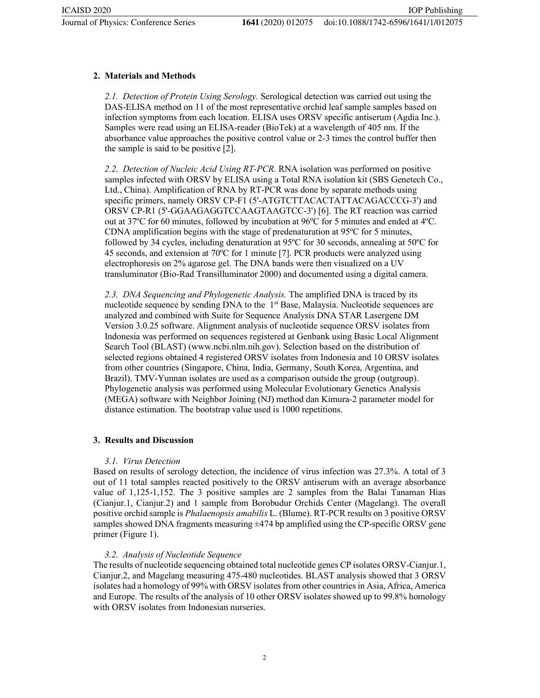IOP Publishing

## **2. Materials and Methods**

*2.1. Detection of Protein Using Serology.* Serological detection was carried out using the DAS-ELISA method on 11 of the most representative orchid leaf sample samples based on infection symptoms from each location. ELISA uses ORSV specific antiserum (Agdia Inc.). Samples were read using an ELISA-reader (BioTek) at a wavelength of 405 nm. If the absorbance value approaches the positive control value or 2-3 times the control buffer then the sample is said to be positive [2].

*2.2. Detection of Nucleic Acid Using RT-PCR.* RNA isolation was performed on positive samples infected with ORSV by ELISA using a Total RNA isolation kit (SBS Genetech Co., Ltd., China). Amplification of RNA by RT-PCR was done by separate methods using specific primers, namely ORSV CP-F1 (5'-ATGTCTTACACTATTACAGACCCG-3') and ORSV CP-R1 (5'-GGAAGAGGTCCAAGTAAGTCC-3') [6]. The RT reaction was carried out at 37ºC for 60 minutes, followed by incubation at 96ºC for 5 minutes and ended at 4ºC. CDNA amplification begins with the stage of predenaturation at 95ºC for 5 minutes, followed by 34 cycles, including denaturation at 95ºC for 30 seconds, annealing at 50ºC for 45 seconds, and extension at 70ºC for 1 minute [7]. PCR products were analyzed using electrophoresis on 2% agarose gel. The DNA bands were then visualized on a UV transluminator (Bio-Rad Transilluminator 2000) and documented using a digital camera.

*2.3. DNA Sequencing and Phylogenetic Analysis.* The amplified DNA is traced by its nucleotide sequence by sending DNA to the  $1<sup>st</sup>$  Base, Malaysia. Nucleotide sequences are analyzed and combined with Suite for Sequence Analysis DNA STAR Lasergene DM Version 3.0.25 software. Alignment analysis of nucleotide sequence ORSV isolates from Indonesia was performed on sequences registered at Genbank using Basic Local Alignment Search Tool (BLAST) (www.ncbi.nlm.nih.gov). Selection based on the distribution of selected regions obtained 4 registered ORSV isolates from Indonesia and 10 ORSV isolates from other countries (Singapore, China, India, Germany, South Korea, Argentina, and Brazil). TMV-Yunnan isolates are used as a comparison outside the group (outgroup). Phylogenetic analysis was performed using Molecular Evolutionary Genetics Analysis (MEGA) software with Neighbor Joining (NJ) method dan Kimura-2 parameter model for distance estimation. The bootstrap value used is 1000 repetitions.

## **3. Results and Discussion**

## *3.1. Virus Detection*

Based on results of serology detection, the incidence of virus infection was 27.3%. A total of 3 out of 11 total samples reacted positively to the ORSV antiserum with an average absorbance value of 1,125-1,152. The 3 positive samples are 2 samples from the Balai Tanaman Hias (Cianjur.1, Cianjur.2) and 1 sample from Borobudur Orchids Center (Magelang). The overall positive orchid sample is *Phalaenopsis amabilis* L. (Blume). RT-PCR results on 3 positive ORSV samples showed DNA fragments measuring ±474 bp amplified using the CP-specific ORSV gene primer (Figure 1).

## *3.2. Analysis of Nucleotide Sequence*

The results of nucleotide sequencing obtained total nucleotide genes CP isolates ORSV-Cianjur.1, Cianjur.2, and Magelang measuring 475-480 nucleotides. BLAST analysis showed that 3 ORSV isolates had a homology of 99% with ORSV isolates from other countriesin Asia, Africa, America and Europe. The results of the analysis of 10 other ORSV isolates showed up to 99.8% homology with ORSV isolates from Indonesian nurseries.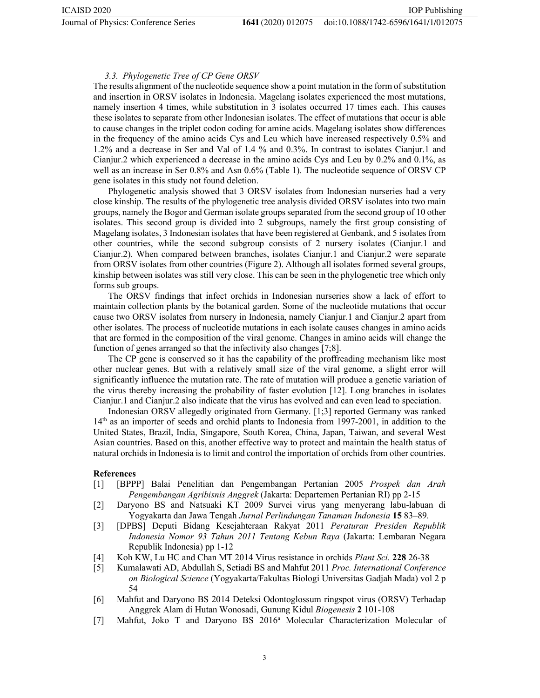IOP Publishing

#### *3.3. Phylogenetic Tree of CP Gene ORSV*

The results alignment of the nucleotide sequence show a point mutation in the form of substitution and insertion in ORSV isolates in Indonesia. Magelang isolates experienced the most mutations, namely insertion 4 times, while substitution in 3 isolates occurred 17 times each. This causes these isolates to separate from other Indonesian isolates. The effect of mutations that occur is able to cause changes in the triplet codon coding for amine acids. Magelang isolates show differences in the frequency of the amino acids Cys and Leu which have increased respectively 0.5% and 1.2% and a decrease in Ser and Val of 1.4 % and 0.3%. In contrast to isolates Cianjur.1 and Cianjur.2 which experienced a decrease in the amino acids Cys and Leu by 0.2% and 0.1%, as well as an increase in Ser 0.8% and Asn 0.6% (Table 1). The nucleotide sequence of ORSV CP gene isolates in this study not found deletion.

Phylogenetic analysis showed that 3 ORSV isolates from Indonesian nurseries had a very close kinship. The results of the phylogenetic tree analysis divided ORSV isolates into two main groups, namely the Bogor and German isolate groups separated from the second group of 10 other isolates. This second group is divided into 2 subgroups, namely the first group consisting of Magelang isolates, 3 Indonesian isolates that have been registered at Genbank, and 5 isolates from other countries, while the second subgroup consists of 2 nursery isolates (Cianjur.1 and Cianjur.2). When compared between branches, isolates Cianjur.1 and Cianjur.2 were separate from ORSV isolates from other countries (Figure 2). Although all isolates formed several groups, kinship between isolates was still very close. This can be seen in the phylogenetic tree which only forms sub groups.

The ORSV findings that infect orchids in Indonesian nurseries show a lack of effort to maintain collection plants by the botanical garden. Some of the nucleotide mutations that occur cause two ORSV isolates from nursery in Indonesia, namely Cianjur.1 and Cianjur.2 apart from other isolates. The process of nucleotide mutations in each isolate causes changes in amino acids that are formed in the composition of the viral genome. Changes in amino acids will change the function of genes arranged so that the infectivity also changes [7;8].

The CP gene is conserved so it has the capability of the proffreading mechanism like most other nuclear genes. But with a relatively small size of the viral genome, a slight error will significantly influence the mutation rate. The rate of mutation will produce a genetic variation of the virus thereby increasing the probability of faster evolution [12]. Long branches in isolates Cianjur.1 and Cianjur.2 also indicate that the virus has evolved and can even lead to speciation.

Indonesian ORSV allegedly originated from Germany. [1;3] reported Germany was ranked 14th as an importer of seeds and orchid plants to Indonesia from 1997-2001, in addition to the United States, Brazil, India, Singapore, South Korea, China, Japan, Taiwan, and several West Asian countries. Based on this, another effective way to protect and maintain the health status of natural orchids in Indonesia is to limit and control the importation of orchids from other countries.

#### **References**

- [1] [BPPP] Balai Penelitian dan Pengembangan Pertanian 2005 *Prospek dan Arah Pengembangan Agribisnis Anggrek* (Jakarta: Departemen Pertanian RI) pp 2-15
- [2] Daryono BS and Natsuaki KT 2009 Survei virus yang menyerang labu-labuan di Yogyakarta dan Jawa Tengah *Jurnal Perlindungan Tanaman Indonesia* **15** 83–89.
- [3] [DPBS] Deputi Bidang Kesejahteraan Rakyat 2011 *Peraturan Presiden Republik Indonesia Nomor 93 Tahun 2011 Tentang Kebun Raya* (Jakarta: Lembaran Negara Republik Indonesia) pp 1-12
- [4] Koh KW, Lu HC and Chan MT 2014 Virus resistance in orchids *Plant Sci.* **228** 26-38
- [5] Kumalawati AD, Abdullah S, Setiadi BS and Mahfut 2011 *Proc. International Conference on Biological Science* (Yogyakarta/Fakultas Biologi Universitas Gadjah Mada) vol 2 p 54
- [6] Mahfut and Daryono BS 2014 Deteksi Odontoglossum ringspot virus (ORSV) Terhadap Anggrek Alam di Hutan Wonosadi, Gunung Kidul *Biogenesis* **2** 101-108
- [7] Mahfut, Joko T and Daryono BS 2016<sup>a</sup> Molecular Characterization Molecular of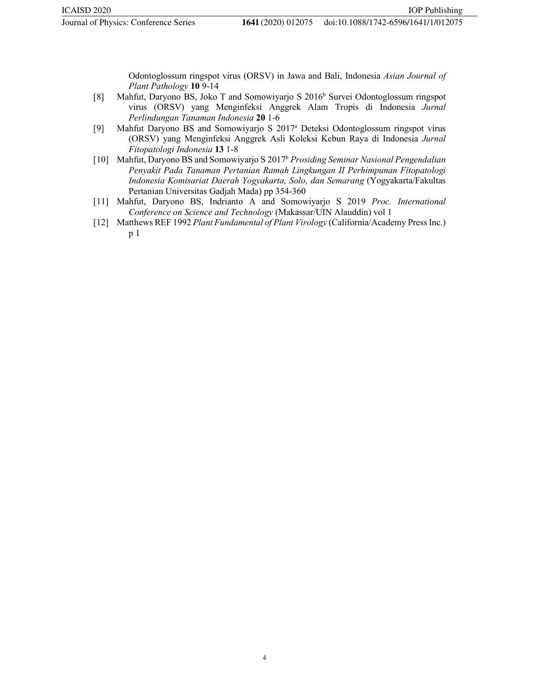Odontoglossum ringspot virus (ORSV) in Jawa and Bali, Indonesia *Asian Journal of Plant Pathology* **10** 9-14

- [8] Mahfut, Daryono BS, Joko T and Somowiyarjo S 2016<sup>b</sup> Survei Odontoglossum ringspot virus (ORSV) yang Menginfeksi Anggrek Alam Tropis di Indonesia *Jurnal Perlindungan Tanaman Indonesia* **20** 1-6
- [9] Mahfut Daryono BS and Somowiyarjo S 2017a Deteksi Odontoglossum ringspot virus (ORSV) yang Menginfeksi Anggrek Asli Koleksi Kebun Raya di Indonesia *Jurnal Fitopatologi Indonesia* **13** 1-8
- [10] Mahfut, Daryono BS and Somowiyarjo S 2017b *Prosiding Seminar Nasional Pengendalian Penyakit Pada Tanaman Pertanian Ramah Lingkungan II Perhimpunan Fitopatologi Indonesia Komisariat Daerah Yogyakarta, Solo, dan Semarang* (Yogyakarta/Fakultas Pertanian Universitas Gadjah Mada) pp 354-360
- [11] Mahfut, Daryono BS, Indrianto A and Somowiyarjo S 2019 *Proc. International Conference on Science and Technology* (Makassar/UIN Alauddin) vol 1
- [12] Matthews REF 1992 *Plant Fundamental of Plant Virology* (California/Academy Press Inc.) p 1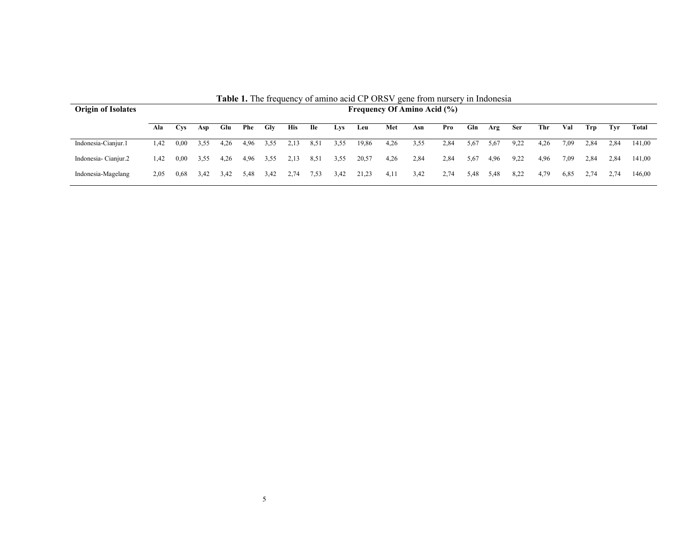| <b>Origin of Isolates</b> | <b>TADIC 1.</b> THE HEQUEILY OF AINING ACID CT OND Y GENE HOM HUISELY IN HIQONESIA<br><b>Frequency Of Amino Acid (%)</b> |            |      |      |      |      |            |            |            |       |      |      |      |      |      |            |      |      |      |      |        |
|---------------------------|--------------------------------------------------------------------------------------------------------------------------|------------|------|------|------|------|------------|------------|------------|-------|------|------|------|------|------|------------|------|------|------|------|--------|
|                           | Ala                                                                                                                      | <b>Cys</b> | Asp  | Glu  | Phe  | Glv  | <b>His</b> | <b>Ile</b> | <b>Lys</b> | Leu   | Met  | Asn  | Pro  | Gln  | Arg  | <b>Ser</b> | Thr  | Val  | Trp  | Tvr  | Total  |
| Indonesia-Cianjur.1       | l.42                                                                                                                     | 0,00       | 3,55 | 4,26 | 4,96 | 3,55 | 2,13       | 8,51       | 3,55       | 19,86 | 4,26 | 3,55 | 2,84 | 5,67 | 5,67 | 9,22       | 4,26 | 7.09 | 2,84 | 2.84 | 141,00 |
| Indonesia-Cianjur.2       | 1.42                                                                                                                     | 0.00       | 3.55 | 4.26 | 4,96 | 3,55 | 2.13       | 8,51       | 3,55       | 20,57 | 4,26 | 2,84 | 2,84 | 5,67 | 4,96 | 9.22       | 4,96 | 7.09 | 2.84 | 2.84 | 141.00 |
| Indonesia-Magelang        | 2.05                                                                                                                     | 0,68       | 3.42 | 3,42 | 5.48 | 3.42 | 2.74       | 7,53       | 3,42       | 21,23 | 4,11 | 3,42 | 2,74 | 5,48 | 5,48 | 8,22       | 4,79 | 6,85 | 2.74 | 2.74 | 146,00 |

**Table 1.** The frequency of amino acid CP ORSV gene from nursery in Indonesia